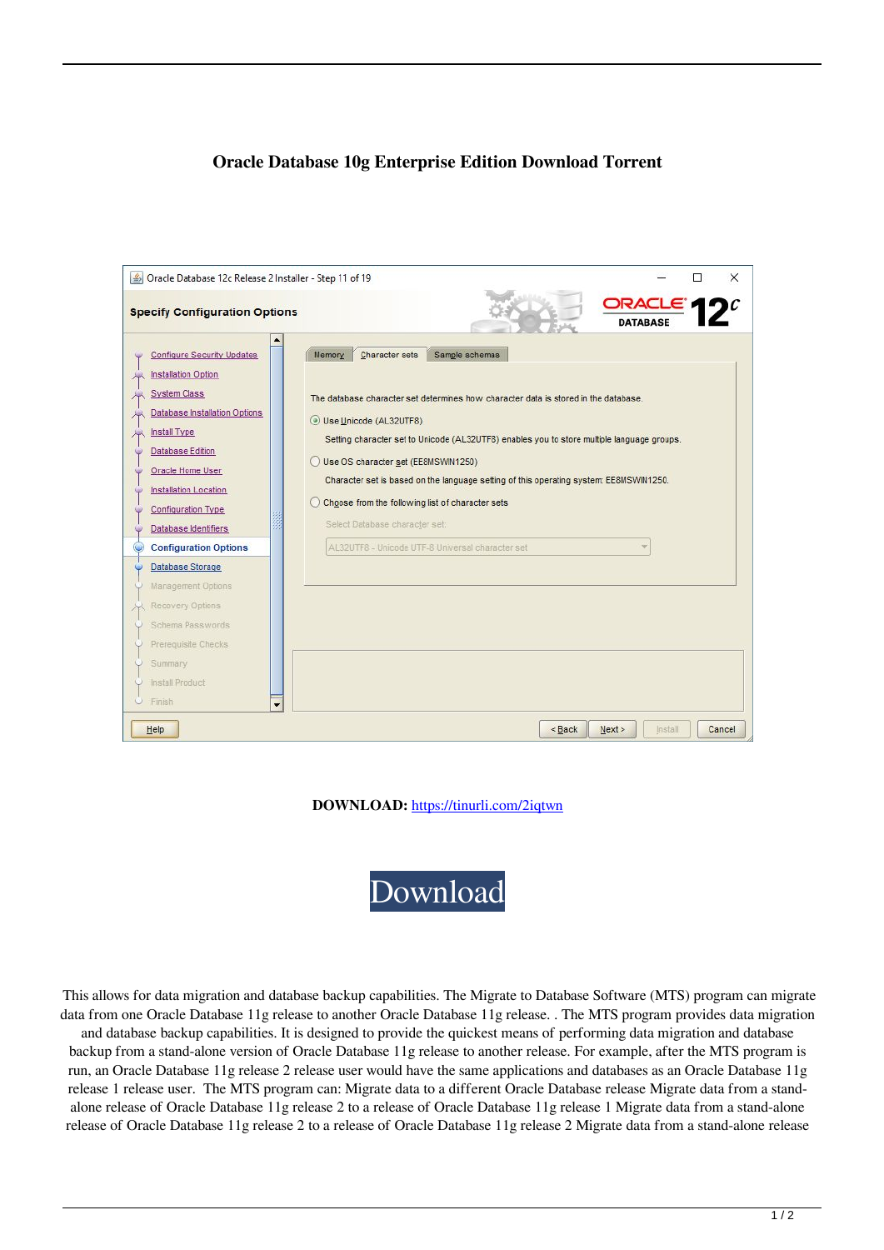## **Oracle Database 10g Enterprise Edition Download Torrent**

| Oracle Database 12c Release 2 Installer - Step 11 of 19                                                                                                                                                                                                                                                                                                                                                                                                                        |                                                                                                                                                                                                                                                                                                                                                                                                                                                                                                                                                    | ×                                   |
|--------------------------------------------------------------------------------------------------------------------------------------------------------------------------------------------------------------------------------------------------------------------------------------------------------------------------------------------------------------------------------------------------------------------------------------------------------------------------------|----------------------------------------------------------------------------------------------------------------------------------------------------------------------------------------------------------------------------------------------------------------------------------------------------------------------------------------------------------------------------------------------------------------------------------------------------------------------------------------------------------------------------------------------------|-------------------------------------|
| <b>Specify Configuration Options</b>                                                                                                                                                                                                                                                                                                                                                                                                                                           |                                                                                                                                                                                                                                                                                                                                                                                                                                                                                                                                                    | ORACLE' <b>1</b><br><b>DATABASE</b> |
| <b>Configure Security Updates</b><br><b>Installation Option</b><br><b>System Class</b><br>Database Installation Options<br><b>Install Type</b><br><b>Database Edition</b><br>Oracle Home User<br><b>Installation Location</b><br><b>Configuration Type</b><br>Database Identifiers<br><b>Configuration Options</b><br>Database Storage<br>Management Options<br>Recovery Options<br>Schema Passwords<br>Prerequisite Checks<br>Summary<br>Install Product<br>Finish<br>$\circ$ | <b>Character sets</b><br>Sample schemas<br><b>Memory</b><br>The database character set determines how character data is stored in the database.<br>Use Unicode (AL32UTF8)<br>Setting character set to Unicode (AL32UTF8) enables you to store multiple language groups.<br>Use OS character set (EE8MSWIN1250)<br>Character set is based on the language setting of this operating system: EE8MSWIN1250.<br>Choose from the following list of character sets<br>Select Database character set:<br>AL32UTF8 - Unicode UTF-8 Universal character set |                                     |
| Help                                                                                                                                                                                                                                                                                                                                                                                                                                                                           | $<$ Back                                                                                                                                                                                                                                                                                                                                                                                                                                                                                                                                           | Next<br>Install<br>Cancel           |

**DOWNLOAD:** <https://tinurli.com/2iqtwn>



 This allows for data migration and database backup capabilities. The Migrate to Database Software (MTS) program can migrate data from one Oracle Database 11g release to another Oracle Database 11g release. . The MTS program provides data migration and database backup capabilities. It is designed to provide the quickest means of performing data migration and database backup from a stand-alone version of Oracle Database 11g release to another release. For example, after the MTS program is run, an Oracle Database 11g release 2 release user would have the same applications and databases as an Oracle Database 11g release 1 release user. The MTS program can: Migrate data to a different Oracle Database release Migrate data from a standalone release of Oracle Database 11g release 2 to a release of Oracle Database 11g release 1 Migrate data from a stand-alone release of Oracle Database 11g release 2 to a release of Oracle Database 11g release 2 Migrate data from a stand-alone release